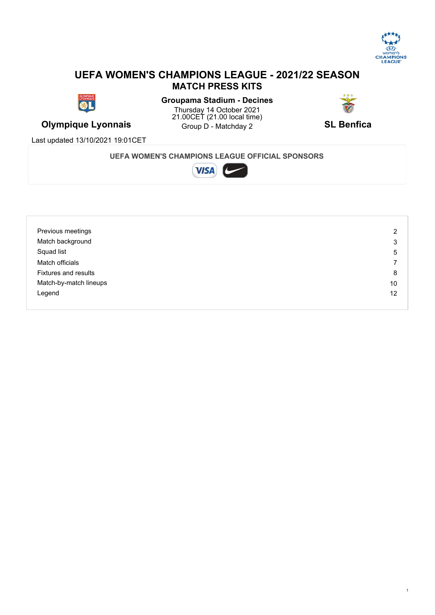

## **UEFA WOMEN'S CHAMPIONS LEAGUE - 2021/22 SEASON MATCH PRESS KITS**



**Olympique Lyonnais Change Constructed Constructed Constructed Constructed Constructed Constructed Constructed Constructed Construction Construction Construction Construction Construction Construction Construction Constr Groupama Stadium - Decines** Thursday 14 October 2021 **Contract Contract Contract Contract Contract Contract Contract Contract Contract Contract Contract Contract Contract Contract Contract Contract Contract Contract Contract Contract Contract Contrac** 21.00CET (21.00 local time) **Group D - Matchday 2** 



Last updated 13/10/2021 19:01CET

**UEFA WOMEN'S CHAMPIONS LEAGUE OFFICIAL SPONSORS**



| Previous meetings      | 2  |
|------------------------|----|
| Match background       | 3  |
| Squad list             | 5  |
| Match officials        | 7  |
| Fixtures and results   | 8  |
| Match-by-match lineups | 10 |
| Legend                 | 12 |
|                        |    |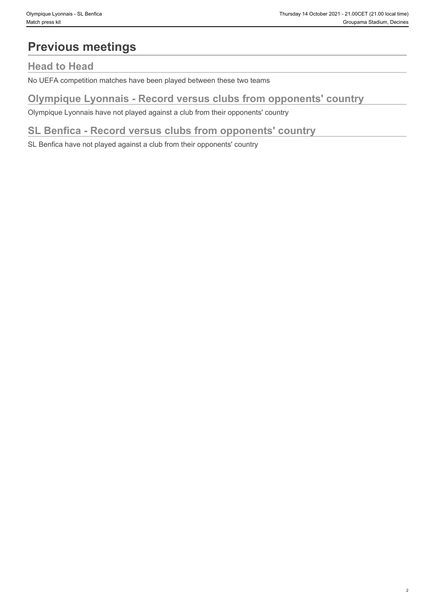# **Previous meetings**

# **Head to Head**

No UEFA competition matches have been played between these two teams

## **Olympique Lyonnais - Record versus clubs from opponents' country**

Olympique Lyonnais have not played against a club from their opponents' country

## **SL Benfica - Record versus clubs from opponents' country**

SL Benfica have not played against a club from their opponents' country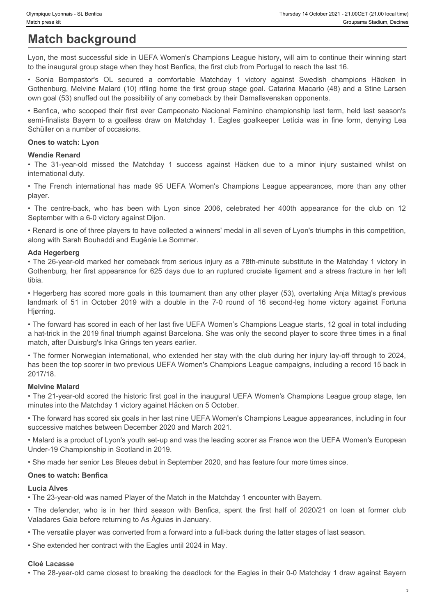# **Match background**

Lyon, the most successful side in UEFA Women's Champions League history, will aim to continue their winning start to the inaugural group stage when they host Benfica, the first club from Portugal to reach the last 16.

Fluursday 14 October 2021 - 21:00 Cert (21:00 local time)<br>Match press kit Groupama Stadium, Decines<br>Lyon, the most successfull sidds in UEFA Women's Champions League history, will aim to continue their winning start<br>to the Gothenburg, Melvine Malard (10) rifling home the first group stage goal. Catarina Macario (48) and a Stine Larsen own goal (53) snuffed out the possibility of any comeback by their Damallsvenskan opponents. Sympique Lyonnais -St. Bentica<br>
Station press att<br>
Match background<br>
Lyon, the most successful side in UEFA Women's Champions League history, will aim to continue their winning start<br>
Lyon, the most successful side in UEFA Formigue Lyomas - St. Benfits<br> **Match background**<br> **Match background**<br>
Lyon, the most successful side in UEFA Women's Champions League history, will aim to continue their winning start<br>
In the inaugural group stage when th **French international has made 95** UEFA Women's Champions League history, will aim to continue their winning start<br>
U.yon, the most successful side in UEFA Women's Champions League history, will aim to continue their winni **Forefand Conser and Substrates and Substrates and The centre of the centre-back (sensor and Conservation Substrates 1990)<br>
Lyon, the most successful side in UEFA Women's Champions League history, will aim to continue the** laneuve tormes -31 teritor tormes -31 teritor tormes of the 7-0 control of the 7-0 control of the 7-1 in October 2019 with a double in the 7-0 control of the 7-0 control of the 7-0 control of the 7-0 control of the 7-0 in

• Benfica, who scooped their first ever Campeonato Nacional Feminino championship last term, held last season's Schüller on a number of occasions.

#### **Ones to watch: Lyon**

#### **Wendie Renard**

international duty.

player.

September with a 6-0 victory against Dijon.

• Renard is one of three players to have collected a winners' medal in all seven of Lyon's triumphs in this competition, along with Sarah Bouhaddi and Eugénie Le Sommer.

#### **Ada Hegerberg**

• The 26-year-old marked her comeback from serious injury as a 78th-minute substitute in the Matchday 1 victory in Gothenburg, her first appearance for 625 days due to an ruptured cruciate ligament and a stress fracture in her left tibia.

• Hegerberg has scored more goals in this tournament than any other player (53), overtaking Anja Mittag's previous Hjørring. We have the Research method, the defender of the defender of the first half of the defender of the stationary in the First half of the method with the First half of the method with Benfin at the method with Benfin at the d

• The forward has scored in each of her last five UEFA Women's Champions League starts, 12 goal in total including a hat-trick in the 2019 final triumph against Barcelona. She was only the second player to score three times in a final match, after Duisburg's Inka Grings ten years earlier.

• The former Norwegian international, who extended her stay with the club during her injury lay-off through to 2024, has been the top scorer in two previous UEFA Women's Champions League campaigns, including a record 15 back in 2017/18.

#### **Melvine Malard**

• The 21-year-old scored the historic first goal in the inaugural UEFA Women's Champions League group stage, ten minutes into the Matchday 1 victory against Häcken on 5 October.

• The forward has scored six goals in her last nine UEFA Women's Champions League appearances, including in four successive matches between December 2020 and March 2021.

• Malard is a product of Lyon's youth set-up and was the leading scorer as France won the UEFA Women's European Under-19 Championship in Scotland in 2019.

• She made her senior Les Bleues debut in September 2020, and has feature four more times since.

#### **Ones to watch: Benfica**

#### **Lucia Alves**

• The 23-year-old was named Player of the Match in the Matchday 1 encounter with Bayern.

Valadares Gaia before returning to As Águias in January.

• The versatile player was converted from a forward into a full-back during the latter stages of last season.

• She extended her contract with the Eagles until 2024 in May.

#### **Cloé Lacasse**

• The 28-year-old came closest to breaking the deadlock for the Eagles in their 0-0 Matchday 1 draw against Bayern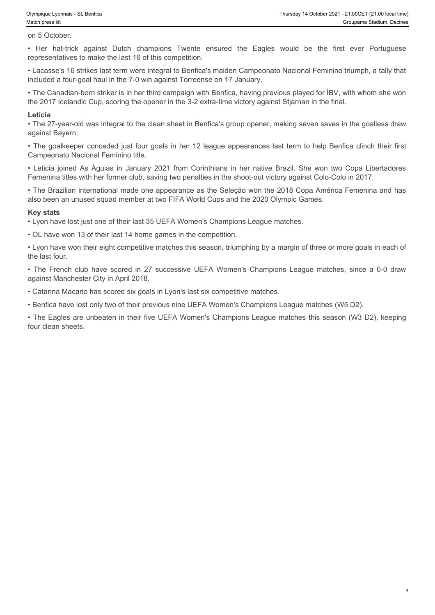on 5 October.

representatives to make the last 16 of this competition.

• Lacasse's 16 strikes last term were integral to Benfica's maiden Campeonato Nacional Feminino triumph, a tally that included a four-goal haul in the 7-0 win against Torreense on 17 January.

From Society and Society and Society and Society and Society and Society and Society and Society and Society and Society and Society and Society and Society are the trick against Dutch champions Twente ensured the Eagles w • The Canadian-born striker is in her third campaign with Benfica, having previous played for ÍBV, with whom she won the 2017 Icelandic Cup, scoring the opener in the 3-2 extra-time victory against Stjarnan in the final. • Chromate Isomatis - St. Berifics<br>
• Thursday 14 October.<br>
• The Track-trick against Dutch champions Twentle ensured the Eagles would be the first ever Portuguese<br>
• Her hat-trick against Dutch champions Twentle ensured t

#### **Letícia**

• The 27-year-old was integral to the clean sheet in Benfica's group opener, making seven saves in the goalless draw against Bayern.

• The goalkeeper conceded just four goals in her 12 league appearances last term to help Benfica clinch their first Campeonato Nacional Feminino title.

Femenina titles with her former club, saving two penalties in the shoot-out victory against Colo-Colo in 2017.

• The Brazilian international made one appearance as the Seleção won the 2018 Copa América Femenina and has also been an unused squad member at two FIFA World Cups and the 2020 Olympic Games.

#### **Key stats**

• Lyon have lost just one of their last 35 UEFA Women's Champions League matches.

• OL have won 13 of their last 14 home games in the competition.

• Lyon have won their eight competitive matches this season, triumphing by a margin of three or more goals in each of the last four.

against Manchester City in April 2018.

• Catarina Macario has scored six goals in Lyon's last six competitive matches.

• Benfica have lost only two of their previous nine UEFA Women's Champions League matches (W5 D2).

• Thusday is considered in the French club have scored in 27 successive UEFA Women's Champions League matches in the French club have been a club to the first ever Portuguese Considered in make the French competition. The • The Eagles are unbeaten in their five UEFA Women's Champions League matches this season (W3 D2), keeping four clean sheets.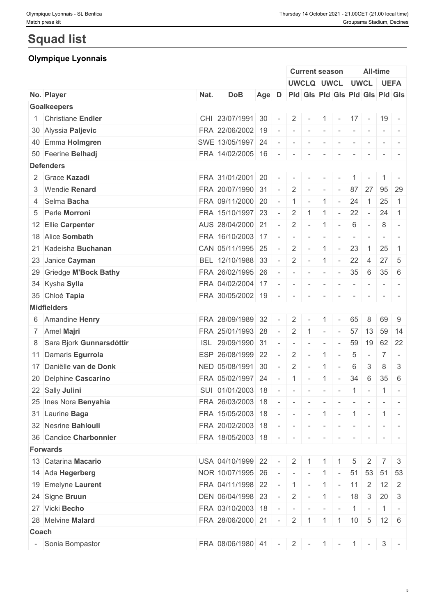# **Squad list**

## **Olympique Lyonnais**

|              |                            |      |                                             |                                       |                          |                                                                               | <b>Current season</b> |                          |                          |                          |                          | <b>All-time</b>                                                                                                                                                                                                                                                                                                                                                                                                                                                                       |                                                                                                              |
|--------------|----------------------------|------|---------------------------------------------|---------------------------------------|--------------------------|-------------------------------------------------------------------------------|-----------------------|--------------------------|--------------------------|--------------------------|--------------------------|---------------------------------------------------------------------------------------------------------------------------------------------------------------------------------------------------------------------------------------------------------------------------------------------------------------------------------------------------------------------------------------------------------------------------------------------------------------------------------------|--------------------------------------------------------------------------------------------------------------|
|              |                            |      |                                             |                                       |                          |                                                                               | UWCLQ UWCL UWCL UEFA  |                          |                          |                          |                          |                                                                                                                                                                                                                                                                                                                                                                                                                                                                                       |                                                                                                              |
|              | No. Player                 | Nat. | <b>DoB</b>                                  | Age D Pld Gis Pld Gis Pld Gis Pld Gis |                          |                                                                               |                       |                          |                          |                          |                          |                                                                                                                                                                                                                                                                                                                                                                                                                                                                                       |                                                                                                              |
|              | <b>Goalkeepers</b>         |      |                                             |                                       |                          |                                                                               |                       |                          |                          |                          |                          |                                                                                                                                                                                                                                                                                                                                                                                                                                                                                       |                                                                                                              |
|              | 1 Christiane Endler        |      | CHI 23/07/1991 30                           |                                       | $\sim$                   |                                                                               | $2$ - 1 - 17 - 19 -   |                          |                          |                          |                          |                                                                                                                                                                                                                                                                                                                                                                                                                                                                                       |                                                                                                              |
|              | 30 Alyssia Paljevic        |      | FRA 22/06/2002 19                           |                                       |                          | $\sim$                                                                        | $\mathbf{r}$          | $\sim$                   |                          | $\sim$                   | $\sim$                   |                                                                                                                                                                                                                                                                                                                                                                                                                                                                                       | $-1 - -$                                                                                                     |
|              | 40 Emma Holmgren           |      | SWE 13/05/1997 24                           |                                       | $\sim$                   | $\sim$                                                                        | $\sim$                | $\sim$                   | $\sim$                   | $\sim$                   |                          |                                                                                                                                                                                                                                                                                                                                                                                                                                                                                       |                                                                                                              |
|              | 50 Feerine Belhadj         |      | FRA 14/02/2005 16 $   -$                    |                                       |                          |                                                                               |                       |                          | $\mathbf{r}$             | $\sim$                   | $\mathbf{r}$             |                                                                                                                                                                                                                                                                                                                                                                                                                                                                                       | $ -$                                                                                                         |
|              | <b>Defenders</b>           |      |                                             |                                       |                          |                                                                               |                       |                          |                          |                          |                          |                                                                                                                                                                                                                                                                                                                                                                                                                                                                                       |                                                                                                              |
|              | 2 Grace Kazadi             |      | FRA 31/01/2001 20                           |                                       | $\sim$                   | $\sim$                                                                        | $\mathbf{r}$          | $\sim$                   |                          |                          |                          |                                                                                                                                                                                                                                                                                                                                                                                                                                                                                       |                                                                                                              |
|              | 3 Wendie Renard            |      | FRA 20/07/1990 31 -                         |                                       |                          |                                                                               | $2$ -                 | $\sim$                   | $\sim$                   | 87                       | 27                       |                                                                                                                                                                                                                                                                                                                                                                                                                                                                                       | $95 \mid 29$                                                                                                 |
|              | 4 Selma Bacha              |      | FRA 09/11/2000 20                           |                                       | $\sim$                   | $1 -$                                                                         |                       | $\overline{1}$           | $\sim$                   | 24                       | $\vert$ 1                | 25                                                                                                                                                                                                                                                                                                                                                                                                                                                                                    | $\overline{1}$                                                                                               |
|              | 5 Perle Morroni            |      | FRA 15/10/1997 23                           |                                       | $\sim$                   |                                                                               | $2 \mid 1 \mid$       | $\overline{1}$           | $\sim$                   | 22                       | $\sim$                   | $24 \mid 1$                                                                                                                                                                                                                                                                                                                                                                                                                                                                           |                                                                                                              |
|              | 12 Ellie Carpenter         |      | AUS 28/04/2000 21                           |                                       | $\sim$                   |                                                                               | $2$ -                 | $\overline{1}$           | $\sim$                   | 6                        | $\sim$                   | 8                                                                                                                                                                                                                                                                                                                                                                                                                                                                                     | $\overline{\phantom{a}}$                                                                                     |
|              | 18 Alice Sombath           |      | FRA 16/10/2003 17                           |                                       |                          |                                                                               |                       |                          |                          | $\sim$                   | $\sim$                   |                                                                                                                                                                                                                                                                                                                                                                                                                                                                                       | $\sim$ 100 $\sim$ 100 $\sim$                                                                                 |
|              | 21 Kadeisha Buchanan       |      | CAN 05/11/1995 25                           |                                       | $\sim$                   |                                                                               | $2$ -                 | $\overline{1}$           | $\sim$                   | 23                       | $\overline{1}$           | 25                                                                                                                                                                                                                                                                                                                                                                                                                                                                                    | $\overline{1}$                                                                                               |
|              | 23 Janice Cayman           |      | BEL 12/10/1988 33                           |                                       | $\sim$                   |                                                                               | $2$ -                 | -1                       | $\sim$                   | 22                       | $\overline{4}$           | 27                                                                                                                                                                                                                                                                                                                                                                                                                                                                                    | -5                                                                                                           |
|              | 29 Griedge M'Bock Bathy    |      | FRA 26/02/1995 26                           |                                       |                          |                                                                               |                       |                          | $\sim$ $-$               | $35 \quad 6$             |                          | $35 \mid 6$                                                                                                                                                                                                                                                                                                                                                                                                                                                                           |                                                                                                              |
|              | 34 Kysha Sylla             |      | FRA 04/02/2004 17                           |                                       |                          | $\sim$                                                                        | $\sim$                | $\sim$                   | $\sim$                   | $\overline{\phantom{a}}$ | $\overline{\phantom{a}}$ |                                                                                                                                                                                                                                                                                                                                                                                                                                                                                       | $\frac{1}{2} \left( \frac{1}{2} \right) \left( \frac{1}{2} \right) = \frac{1}{2} \left( \frac{1}{2} \right)$ |
|              | 35 Chloé Tapia             |      | FRA 30/05/2002 19                           |                                       | $\sim$                   | $\sim$                                                                        | $\sim$                | $\overline{\phantom{a}}$ |                          | $\overline{\phantom{a}}$ |                          | $\sim$ 100 $\pm$                                                                                                                                                                                                                                                                                                                                                                                                                                                                      |                                                                                                              |
|              | <b>Midfielders</b>         |      |                                             |                                       |                          |                                                                               |                       |                          |                          |                          |                          |                                                                                                                                                                                                                                                                                                                                                                                                                                                                                       |                                                                                                              |
|              | 6 Amandine Henry           |      | FRA 28/09/1989 32                           |                                       | $\overline{\phantom{a}}$ |                                                                               | $2$ -                 | $\overline{1}$           |                          | 65                       | 8                        | 69                                                                                                                                                                                                                                                                                                                                                                                                                                                                                    | 9                                                                                                            |
|              |                            |      | FRA 25/01/1993 28                           |                                       | $\sim$                   |                                                                               | $2 \mid 1$            |                          |                          | 57                       | 13                       |                                                                                                                                                                                                                                                                                                                                                                                                                                                                                       | 59 14                                                                                                        |
|              | 7 Amel Majri               |      |                                             |                                       |                          |                                                                               |                       | $\overline{\phantom{a}}$ | $\overline{\phantom{a}}$ |                          |                          |                                                                                                                                                                                                                                                                                                                                                                                                                                                                                       |                                                                                                              |
|              | 8 Sara Bjork Gunnarsdóttir |      | ISL 29/09/1990 31                           |                                       | $\sim$                   | $\sim$                                                                        | $\sim$                | $\sim$                   | $\sim$                   | 59                       | 19                       |                                                                                                                                                                                                                                                                                                                                                                                                                                                                                       | 62 22                                                                                                        |
|              | 11 Damaris Egurrola        |      | ESP 26/08/1999 22                           |                                       | $\overline{\phantom{a}}$ | $2^{\circ}$                                                                   | $\sim$                | $\overline{1}$           | $\overline{\phantom{a}}$ | 5                        | $\sim$                   | 7                                                                                                                                                                                                                                                                                                                                                                                                                                                                                     | $\sim$                                                                                                       |
|              | 17 Daniëlle van de Donk    |      | NED 05/08/1991 30                           |                                       | $\sim$                   | $\overline{2}$                                                                | $\sim$ $-$            | $\overline{1}$           | $\sim$                   | 6                        | 3                        | 8                                                                                                                                                                                                                                                                                                                                                                                                                                                                                     | 3                                                                                                            |
|              | 20 Delphine Cascarino      |      | FRA 05/02/1997                              | 24                                    | $\sim$                   | $\overline{1}$                                                                | $\sim$                | $\overline{1}$           | $\sim$                   | 34                       | 6                        | 35                                                                                                                                                                                                                                                                                                                                                                                                                                                                                    | - 6                                                                                                          |
|              | 22 Sally Julini            |      | SUI 01/01/2003 18                           |                                       | $\sim$                   |                                                                               |                       |                          | $\sim$                   | 1                        | $\sim$                   |                                                                                                                                                                                                                                                                                                                                                                                                                                                                                       | $1$ -                                                                                                        |
|              | 25 Ines Nora Benyahia      |      | FRA 26/03/2003 18                           |                                       |                          | 1 - 1 - 1 - 1 - 1 - 1 - 1 -                                                   |                       |                          |                          |                          |                          |                                                                                                                                                                                                                                                                                                                                                                                                                                                                                       | $\mathcal{L} = \{ \mathcal{L} \mid \mathcal{L} = \mathcal{L} \}$                                             |
|              | 31 Laurine Baga            |      | FRA 15/05/2003 18 - - - 1 - 1 - 1 -         |                                       |                          |                                                                               |                       |                          |                          |                          |                          | $\vert 1 \vert$ -                                                                                                                                                                                                                                                                                                                                                                                                                                                                     |                                                                                                              |
|              | 32 Nesrine Bahlouli        |      | FRA 20/02/2003 18 - - - - - - - - - - - -   |                                       |                          |                                                                               |                       |                          |                          |                          |                          |                                                                                                                                                                                                                                                                                                                                                                                                                                                                                       |                                                                                                              |
|              | 36 Candice Charbonnier     |      | FRA 18/05/2003 18 - - - - - - - - -         |                                       |                          |                                                                               |                       |                          |                          |                          |                          | $\begin{array}{ccccccccccccc} \multicolumn{2}{c}{} & \multicolumn{2}{c}{} & \multicolumn{2}{c}{} & \multicolumn{2}{c}{} & \multicolumn{2}{c}{} & \multicolumn{2}{c}{} & \multicolumn{2}{c}{} & \multicolumn{2}{c}{} & \multicolumn{2}{c}{} & \multicolumn{2}{c}{} & \multicolumn{2}{c}{} & \multicolumn{2}{c}{} & \multicolumn{2}{c}{} & \multicolumn{2}{c}{} & \multicolumn{2}{c}{} & \multicolumn{2}{c}{} & \multicolumn{2}{c}{} & \multicolumn{2}{c}{} & \multicolumn{2}{c}{} & \$ |                                                                                                              |
|              | <b>Forwards</b>            |      |                                             |                                       |                          |                                                                               |                       |                          |                          |                          |                          |                                                                                                                                                                                                                                                                                                                                                                                                                                                                                       |                                                                                                              |
|              | 13 Catarina Macario        |      | USA 04/10/1999 22 - 2 1 1                   |                                       |                          |                                                                               |                       |                          |                          | 5                        | $\overline{2}$           |                                                                                                                                                                                                                                                                                                                                                                                                                                                                                       | -3                                                                                                           |
|              | 14 Ada Hegerberg           |      | NOR 10/07/1995 26                           |                                       |                          | $\vert - \vert - \vert - \vert 1 \vert - \vert 51 \vert 53 \vert 51 \vert 53$ |                       |                          |                          |                          |                          |                                                                                                                                                                                                                                                                                                                                                                                                                                                                                       |                                                                                                              |
|              | 19 Emelyne Laurent         |      | FRA 04/11/1998 22 - 1 - 1 - 1 - 11 2 12 2   |                                       |                          |                                                                               |                       |                          |                          |                          |                          |                                                                                                                                                                                                                                                                                                                                                                                                                                                                                       |                                                                                                              |
|              | 24 Signe Bruun             |      | DEN 06/04/1998 23 - 2 - 1 - 18              |                                       |                          |                                                                               |                       |                          |                          |                          | 3 <sup>1</sup>           | $20 \mid 3$                                                                                                                                                                                                                                                                                                                                                                                                                                                                           |                                                                                                              |
|              | 27 Vicki Becho             |      | FRA 03/10/2003 18 - - - - - - - 1 - 1 - 1 - |                                       |                          |                                                                               |                       |                          |                          |                          |                          |                                                                                                                                                                                                                                                                                                                                                                                                                                                                                       |                                                                                                              |
|              | 28 Melvine Malard          |      | FRA 28/06/2000 21 - 2 1 1 1 1 0 5 12 6      |                                       |                          |                                                                               |                       |                          |                          |                          |                          |                                                                                                                                                                                                                                                                                                                                                                                                                                                                                       |                                                                                                              |
| <b>Coach</b> |                            |      |                                             |                                       |                          |                                                                               |                       |                          |                          |                          |                          |                                                                                                                                                                                                                                                                                                                                                                                                                                                                                       |                                                                                                              |
|              | Sonia Bompastor            |      | FRA 08/06/1980 41 - 2 - 1 - 1 - 3 -         |                                       |                          |                                                                               |                       |                          |                          |                          |                          |                                                                                                                                                                                                                                                                                                                                                                                                                                                                                       |                                                                                                              |
|              |                            |      |                                             |                                       |                          |                                                                               |                       |                          |                          |                          |                          |                                                                                                                                                                                                                                                                                                                                                                                                                                                                                       |                                                                                                              |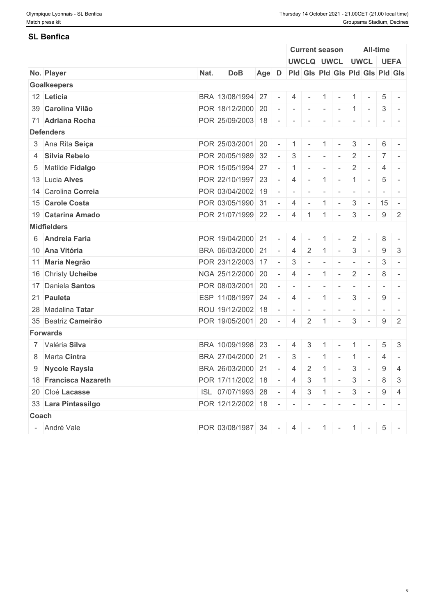### **SL Benfica**

|                       |      |                                           |                                       |        |                | <b>Current season</b> |                          |                          |                 |                          | <b>All-time</b> |                                                                  |
|-----------------------|------|-------------------------------------------|---------------------------------------|--------|----------------|-----------------------|--------------------------|--------------------------|-----------------|--------------------------|-----------------|------------------------------------------------------------------|
|                       |      |                                           |                                       |        |                | UWCLQ UWCL UWCL UEFA  |                          |                          |                 |                          |                 |                                                                  |
| No. Player            | Nat. | <b>DoB</b>                                | Age D Pld Gis Pld Gis Pld Gis Pld Gis |        |                |                       |                          |                          |                 |                          |                 |                                                                  |
| <b>Goalkeepers</b>    |      |                                           |                                       |        |                |                       |                          |                          |                 |                          |                 |                                                                  |
| 12 Letícia            |      | BRA 13/08/1994 27 - 4 - 1 - 1 -           |                                       |        |                |                       |                          |                          |                 |                          |                 | $5 -$                                                            |
| 39 Carolina Vilão     |      | POR 18/12/2000 20                         |                                       |        |                | $       1$ $-$        |                          |                          |                 |                          |                 | $3 -$                                                            |
| 71 Adriana Rocha      |      | POR 25/09/2003 18 - - -                   |                                       |        |                |                       | $-$                      | $\sim$                   | $\sim$          | $\sim$                   |                 | $-1$                                                             |
| <b>Defenders</b>      |      |                                           |                                       |        |                |                       |                          |                          |                 |                          |                 |                                                                  |
| 3 Ana Rita Seiça      |      | POR 25/03/2001 20                         |                                       | $\sim$ |                | $1 - 1$               |                          | $\sim$                   | 3               | $\sim$                   | 6               | $\sim$                                                           |
| 4 Sílvia Rebelo       |      | POR 20/05/1989 32                         |                                       |        |                | $-3$ $-$              |                          | $\sim$                   | $\overline{2}$  | $\sim$                   |                 | $7 -$                                                            |
| 5 Matilde Fidalgo     |      | POR 15/05/1994 27 - 1 - -                 |                                       |        |                |                       |                          | $\sim$                   | $\overline{2}$  | $\sim$                   | 4               |                                                                  |
| 13 Lucia Alves        |      | POR 22/10/1997 23                         |                                       |        |                | $- 4 - 1 -$           |                          |                          |                 | $1 -$                    | 5               | $\sim$                                                           |
| 14 Carolina Correia   |      | POR 03/04/2002 19                         |                                       | $\sim$ | $\sim$         | $\sim$                | $\overline{\phantom{a}}$ |                          |                 |                          |                 |                                                                  |
| 15 Carole Costa       |      | $POR$ 03/05/1990 31 -                     |                                       |        |                | $4$ -                 | $\overline{1}$           | $\sim$                   | 3               | $\sim$                   | $15 -$          |                                                                  |
| 19 Catarina Amado     |      | POR 21/07/1999 22 - 4 1 1                 |                                       |        |                |                       |                          | $\sim$                   | 3               | $\sim$                   | 9               | $\overline{2}$                                                   |
| <b>Midfielders</b>    |      |                                           |                                       |        |                |                       |                          |                          |                 |                          |                 |                                                                  |
| 6 Andreia Faria       |      | POR 19/04/2000 21                         |                                       | $\sim$ | $\overline{4}$ | $\sim$                | $\overline{1}$           |                          | $\overline{2}$  |                          | 8               |                                                                  |
| 10 Ana Vitória        |      | BRA 06/03/2000 21                         |                                       |        | $-4$ 2         |                       | -1                       | $\sim$                   | $3\phantom{.0}$ | $\sim$                   | 9               | 3                                                                |
| 11 Maria Negrão       |      | POR 23/12/2003 17                         |                                       | $\sim$ | $3 \mid$       | $\sim$                | $\overline{\phantom{a}}$ | $\sim$                   | $\sim$          | $\overline{\phantom{a}}$ | 3               | $\sim$                                                           |
| 16 Christy Ucheibe    |      | NGA 25/12/2000 20                         |                                       |        | $-4$ $-$       |                       | $\overline{1}$           | $\sim$                   | $\overline{2}$  | $\sim$                   | 8               |                                                                  |
| 17 Daniela Santos     |      | POR 08/03/2001 20                         |                                       | $\sim$ |                |                       | $\sim$                   | $\sim$                   | $\sim$          | $\sim$                   |                 | $\mathcal{L} = \{ \mathcal{L} \mid \mathcal{L} = \mathcal{L} \}$ |
| 21 Pauleta            |      | ESP 11/08/1997 24                         |                                       | $\sim$ |                | $4 -$                 | $\overline{1}$           | $\sim$                   | $\mathbf{3}$    | $\sim$                   | 9               | $\overline{a}$                                                   |
| 28 Madalina Tatar     |      | ROU 19/12/2002 18                         |                                       | $\sim$ | $\sim$         | $\sim$                |                          |                          |                 |                          |                 |                                                                  |
| 35 Beatriz Cameirão   |      | POR 19/05/2001 20                         |                                       |        | $-4$ 2         |                       | $\overline{1}$           | $\sim$                   | 3               | $\sim$                   | 9               | 2                                                                |
| <b>Forwards</b>       |      |                                           |                                       |        |                |                       |                          |                          |                 |                          |                 |                                                                  |
| 7 Valéria Silva       |      | BRA 10/09/1998 23                         |                                       | $\sim$ | 4              | $\overline{3}$        | -1                       | $\sim$                   | -1              | $\sim$                   | 5               | 3                                                                |
| 8 Marta Cintra        |      | BRA 27/04/2000 21                         |                                       | $\sim$ | 3              | $\sim$                |                          | $\sim$                   | -1              | $\sim$                   | 4               | $\overline{\phantom{a}}$                                         |
| 9 Nycole Raysla       |      | BRA 26/03/2000 21                         |                                       | $\sim$ | 4              | $\overline{2}$        |                          | $\overline{\phantom{a}}$ | $\mathbf{3}$    | $\overline{\phantom{a}}$ | 9               | 4                                                                |
| 18 Francisca Nazareth |      | POR 17/11/2002 18 - 4 3 1 - 3 - 8 3       |                                       |        |                |                       |                          |                          |                 |                          |                 |                                                                  |
| 20 Cloé Lacasse       |      | ISL 07/07/1993 28 - 4 3 1 - 3 - 9 4       |                                       |        |                |                       |                          |                          |                 |                          |                 |                                                                  |
| 33 Lara Pintassilgo   |      | POR 12/12/2002 18 - - - - - - - - - - - - |                                       |        |                |                       |                          |                          |                 |                          |                 |                                                                  |
| Coach                 |      |                                           |                                       |        |                |                       |                          |                          |                 |                          |                 |                                                                  |
| - André Vale          |      | POR 03/08/1987 34 - 4 - 1 - 1 - 1 - 5 -   |                                       |        |                |                       |                          |                          |                 |                          |                 |                                                                  |
|                       |      |                                           |                                       |        |                |                       |                          |                          |                 |                          |                 |                                                                  |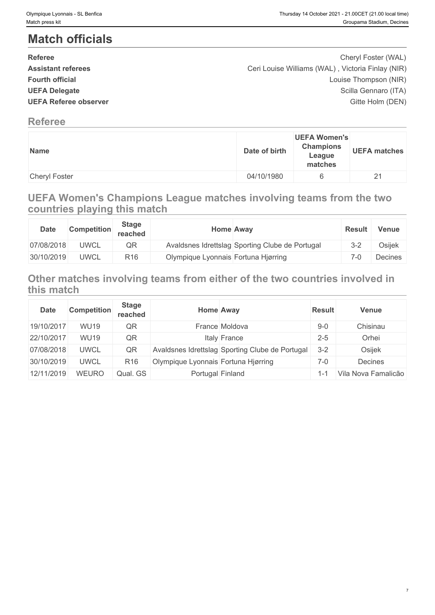# **Match officials**

| <b>Referee</b>               | Cheryl Foster (WAL)                               |  |
|------------------------------|---------------------------------------------------|--|
| <b>Assistant referees</b>    | Ceri Louise Williams (WAL), Victoria Finlay (NIR) |  |
| <b>Fourth official</b>       | Louise Thompson (NIR)                             |  |
| <b>UEFA Delegate</b>         | Scilla Gennaro (ITA)                              |  |
| <b>UEFA Referee observer</b> | Gitte Holm (DEN)                                  |  |
|                              |                                                   |  |

### **Referee**

| Date of birth<br>Name              | <b>UEFA Women's</b><br><b>Champions</b><br>League<br>matches |
|------------------------------------|--------------------------------------------------------------|
| <b>Cheryl Foster</b><br>04/10/1980 |                                                              |

# **UEFA Women's Champions League matches involving teams from the two countries playing this match**

| <b>Date</b> | Competition | Stage<br>reached |                                     | Home Away                                       | <b>Result</b> | <b>Venue</b> |
|-------------|-------------|------------------|-------------------------------------|-------------------------------------------------|---------------|--------------|
| 07/08/2018  | <b>UWCL</b> | QR               |                                     | Avaldsnes Idrettslag Sporting Clube de Portugal | $3 - 2$       | Osijek       |
| 30/10/2019  | <b>UWCL</b> | R <sub>16</sub>  | Olympique Lyonnais Fortuna Hjørring |                                                 | -0            | Decines      |

# **Other matches involving teams from either of the two countries involved in this match**

| <b>Date</b> | <b>Competition</b> | <b>Stage</b><br>reached | <b>Home Away</b>                    |                                                 | <b>Result</b> | Venue               |
|-------------|--------------------|-------------------------|-------------------------------------|-------------------------------------------------|---------------|---------------------|
| 19/10/2017  | <b>WU19</b>        | QR                      |                                     | France Moldova                                  | $9-0$         | Chisinau            |
| 22/10/2017  | <b>WU19</b>        | QR                      |                                     | Italy France                                    | $2 - 5$       | Orhei               |
| 07/08/2018  | <b>UWCL</b>        | QR                      |                                     | Avaldsnes Idrettslag Sporting Clube de Portugal | $3 - 2$       | Osijek              |
| 30/10/2019  | <b>UWCL</b>        | R <sub>16</sub>         | Olympique Lyonnais Fortuna Hjørring |                                                 | $7-0$         | Decines             |
| 12/11/2019  | <b>WEURO</b>       | Qual. GS                | Portugal Finland                    |                                                 | 1-1           | Vila Nova Famalicão |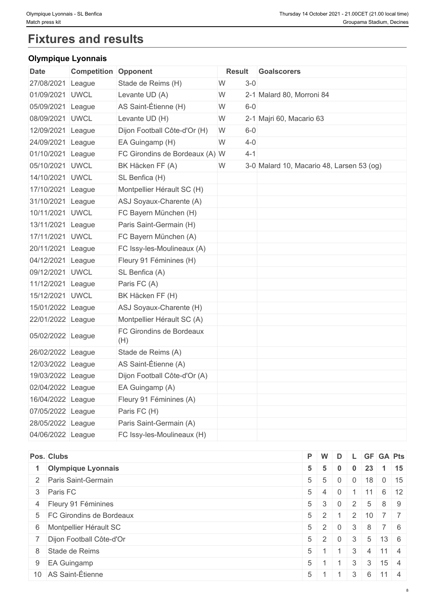# **Fixtures and results**

## **Olympique Lyonnais**

| <b>Date</b>       | <b>Competition Opponent</b> |                                 | Result |         | Goalscorers                               |
|-------------------|-----------------------------|---------------------------------|--------|---------|-------------------------------------------|
| 27/08/2021 League |                             | Stade de Reims (H)              | W      | $3-0$   |                                           |
| 01/09/2021 UWCL   |                             | Levante UD (A)                  | W      |         | 2-1 Malard 80, Morroni 84                 |
| 05/09/2021 League |                             | AS Saint-Étienne (H)            | W      | $6-0$   |                                           |
| 08/09/2021 UWCL   |                             | Levante UD (H)                  | W      |         | 2-1 Majri 60, Macario 63                  |
| 12/09/2021 League |                             | Dijon Football Côte-d'Or (H)    | W      | $6-0$   |                                           |
| 24/09/2021 League |                             | EA Guingamp (H)                 | W      | $4 - 0$ |                                           |
| 01/10/2021 League |                             | FC Girondins de Bordeaux (A) W  |        | $4 - 1$ |                                           |
| 05/10/2021 UWCL   |                             | BK Häcken FF (A)                | W      |         | 3-0 Malard 10, Macario 48, Larsen 53 (og) |
| 14/10/2021 UWCL   |                             | SL Benfica (H)                  |        |         |                                           |
| 17/10/2021 League |                             | Montpellier Hérault SC (H)      |        |         |                                           |
| 31/10/2021 League |                             | ASJ Soyaux-Charente (A)         |        |         |                                           |
| 10/11/2021 UWCL   |                             | FC Bayern München (H)           |        |         |                                           |
| 13/11/2021 League |                             | Paris Saint-Germain (H)         |        |         |                                           |
| 17/11/2021 UWCL   |                             | FC Bayern München (A)           |        |         |                                           |
| 20/11/2021 League |                             | FC Issy-les-Moulineaux (A)      |        |         |                                           |
| 04/12/2021 League |                             | Fleury 91 Féminines (H)         |        |         |                                           |
| 09/12/2021 UWCL   |                             | SL Benfica (A)                  |        |         |                                           |
| 11/12/2021 League |                             | Paris FC (A)                    |        |         |                                           |
| 15/12/2021 UWCL   |                             | BK Häcken FF (H)                |        |         |                                           |
| 15/01/2022 League |                             | ASJ Soyaux-Charente (H)         |        |         |                                           |
| 22/01/2022 League |                             | Montpellier Hérault SC (A)      |        |         |                                           |
| 05/02/2022 League |                             | FC Girondins de Bordeaux<br>(H) |        |         |                                           |
| 26/02/2022 League |                             | Stade de Reims (A)              |        |         |                                           |
| 12/03/2022 League |                             | AS Saint-Étienne (A)            |        |         |                                           |
| 19/03/2022 League |                             | Dijon Football Côte-d'Or (A)    |        |         |                                           |
| 02/04/2022 League |                             | EA Guingamp (A)                 |        |         |                                           |
| 16/04/2022 League |                             | Fleury 91 Féminines (A)         |        |         |                                           |
| 07/05/2022 League |                             | Paris FC (H)                    |        |         |                                           |
| 28/05/2022 League |                             | Paris Saint-Germain (A)         |        |         |                                           |
| 04/06/2022 League |                             | FC Issy-les-Moulineaux (H)      |        |         |                                           |

|                                                                                                                                                                                                                                                        | $\bf{0}$                                                                                                               | $\mathbf{0}$                                                   |   |                                       | $1 \mid 15$                                                                                                                                                                                                                                       |
|--------------------------------------------------------------------------------------------------------------------------------------------------------------------------------------------------------------------------------------------------------|------------------------------------------------------------------------------------------------------------------------|----------------------------------------------------------------|---|---------------------------------------|---------------------------------------------------------------------------------------------------------------------------------------------------------------------------------------------------------------------------------------------------|
|                                                                                                                                                                                                                                                        | $\Omega$                                                                                                               | $0-1$                                                          |   |                                       |                                                                                                                                                                                                                                                   |
|                                                                                                                                                                                                                                                        |                                                                                                                        |                                                                |   |                                       |                                                                                                                                                                                                                                                   |
|                                                                                                                                                                                                                                                        |                                                                                                                        |                                                                |   |                                       |                                                                                                                                                                                                                                                   |
|                                                                                                                                                                                                                                                        |                                                                                                                        |                                                                |   |                                       |                                                                                                                                                                                                                                                   |
|                                                                                                                                                                                                                                                        | $\Omega$                                                                                                               |                                                                |   |                                       |                                                                                                                                                                                                                                                   |
|                                                                                                                                                                                                                                                        |                                                                                                                        |                                                                |   |                                       |                                                                                                                                                                                                                                                   |
|                                                                                                                                                                                                                                                        |                                                                                                                        | 3                                                              |   |                                       |                                                                                                                                                                                                                                                   |
|                                                                                                                                                                                                                                                        |                                                                                                                        | 3                                                              | 3 |                                       |                                                                                                                                                                                                                                                   |
|                                                                                                                                                                                                                                                        |                                                                                                                        | 3                                                              |   |                                       |                                                                                                                                                                                                                                                   |
| Pos. Clubs<br>1 Olympique Lyonnais<br>2 Paris Saint-Germain<br>3 Paris FC<br>4 Fleury 91 Féminines<br>5 FC Girondins de Bordeaux<br>6 Montpellier Hérault SC<br>7 Dijon Football Côte-d'Or<br>8 Stade de Reims<br>9 EA Guingamp<br>10 AS Saint-Étienne | $P$ W<br>$5 \mid 5$<br>$5 \quad 5$<br>$5 \mid 2$<br>$5 \mid 2$<br>$5 \mid 2$<br>$5 \mid 1$<br>$5 \mid 1$<br>$5 \mid 1$ | $5 \mid 4 \mid 0$<br>$5 \quad 3$<br>$\overline{0}$<br>$\Omega$ |   | $\cdot$ + 2 + $\pm$<br>3 <sup>1</sup> | D L GF GA Pts<br>23<br>$\vert$ 18 $\vert$<br>$0 \mid 15$<br>$11 \ 6 \ 12$<br>$5 \quad 8 \quad 9$<br>7 7<br>$\vert 2 \vert 10 \vert$<br>$3 \mid 8 \mid 7 \mid 6$<br>$5 \mid 13 \mid 6$<br>$4 \mid 11 \mid 4$<br>$15 \quad 4$<br>$6 \mid 11 \mid 4$ |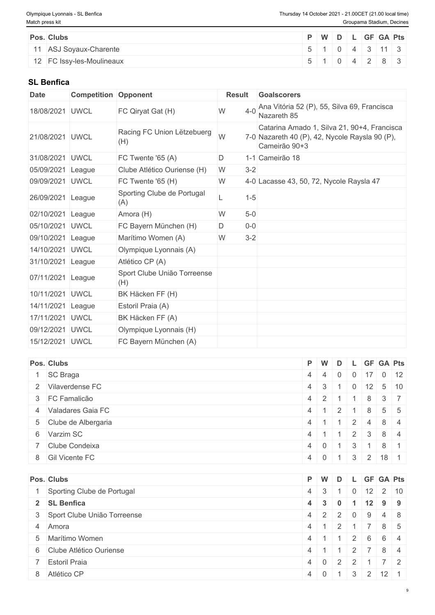| Pos. Clubs                |  | P   W   D   L   GF   GA   Pts |  |  |  |
|---------------------------|--|-------------------------------|--|--|--|
| 11 ASJ Soyaux-Charente    |  | $5$ 1 0 4 3 11 3              |  |  |  |
| 12 FC Issy-les-Moulineaux |  | 5 1 0 4 2 8 3                 |  |  |  |

### **SL Benfica**

| <b>Date</b>       | <b>Competition Opponent</b> |                                    | Result       | Goalscorers                                                                                                    |
|-------------------|-----------------------------|------------------------------------|--------------|----------------------------------------------------------------------------------------------------------------|
| 18/08/2021        | <b>UWCL</b>                 | FC Qiryat Gat (H)                  | $4 - 0$<br>W | Ana Vitória 52 (P), 55, Silva 69, Francisca<br>Nazareth 85                                                     |
| 21/08/2021 UWCL   |                             | Racing FC Union Lëtzebuerg<br>(H)  | W            | Catarina Amado 1, Silva 21, 90+4, Francisca<br>7-0 Nazareth 40 (P), 42, Nycole Raysla 90 (P),<br>Cameirão 90+3 |
| 31/08/2021 UWCL   |                             | FC Twente '65 (A)                  | D            | 1-1 Cameirão 18                                                                                                |
| 05/09/2021        | League                      | Clube Atlético Ouriense (H)        | $3 - 2$<br>W |                                                                                                                |
| 09/09/2021 UWCL   |                             | FC Twente '65 (H)                  | W            | 4-0 Lacasse 43, 50, 72, Nycole Raysla 47                                                                       |
| 26/09/2021 League |                             | Sporting Clube de Portugal<br>(A)  | $1 - 5$      |                                                                                                                |
| 02/10/2021 League |                             | Amora (H)                          | W<br>$5-0$   |                                                                                                                |
| 05/10/2021 UWCL   |                             | FC Bayern München (H)              | $0-0$<br>D   |                                                                                                                |
| 09/10/2021 League |                             | Marítimo Women (A)                 | $3 - 2$<br>W |                                                                                                                |
| 14/10/2021 UWCL   |                             | Olympique Lyonnais (A)             |              |                                                                                                                |
| 31/10/2021 League |                             | Atlético CP (A)                    |              |                                                                                                                |
| 07/11/2021 League |                             | Sport Clube União Torreense<br>(H) |              |                                                                                                                |
| 10/11/2021 UWCL   |                             | BK Häcken FF (H)                   |              |                                                                                                                |
| 14/11/2021 League |                             | Estoril Praia (A)                  |              |                                                                                                                |
| 17/11/2021 UWCL   |                             | BK Häcken FF (A)                   |              |                                                                                                                |
| 09/12/2021 UWCL   |                             | Olympique Lyonnais (H)             |              |                                                                                                                |
| 15/12/2021 UWCL   |                             | FC Bayern München (A)              |              |                                                                                                                |

| Pos. Clubs            | $P$ W      |                 | D              |                            |                | LGFGAPts                  |  |
|-----------------------|------------|-----------------|----------------|----------------------------|----------------|---------------------------|--|
| 1 SC Braga            | 4 4        |                 | $\Omega$       |                            |                | $0$ 17 0 12               |  |
| 2 Vilaverdense FC     |            | $4 \mid 3 \mid$ |                | $\overline{0}$             |                | $12 \mid 5 \mid 10$       |  |
| 3 FC Famalicão        |            | $4 \quad 2$     |                |                            |                | 8 3 7                     |  |
| 4 Valadares Gaia FC   | $4 \mid 1$ |                 | $\overline{2}$ |                            | 8              | $5 \mid 5$                |  |
| 5 Clube de Albergaria | 4 1        |                 |                |                            | $\overline{a}$ | $8 \mid 4$                |  |
| 6 Varzim SC           | 4 1        |                 |                |                            | 3              | 8 4                       |  |
| 7 Clube Condeixa      |            | 4 0 1           |                | $\overline{\phantom{0}}$ 3 |                | 8 <sup>1</sup>            |  |
| 8 Gil Vicente FC      |            | 4 0 1           |                |                            |                | $3 \mid 2 \mid 18 \mid 1$ |  |

| Pos. Clubs                    |            |                     |        |                                 |                | $P$ W D L GF GA Pts                            |  |
|-------------------------------|------------|---------------------|--------|---------------------------------|----------------|------------------------------------------------|--|
| Sporting Clube de Portugal    |            | $4 \quad 3 \quad$   |        |                                 |                | $0 \t12 \t2 \t10$                              |  |
| 2 SL Benfica                  |            | $4 \quad 3 \quad 0$ |        |                                 |                | $1 \mid 12 \mid 9 \mid 9$                      |  |
| 3 Sport Clube União Torreense |            |                     |        | $4$ 2 2 0                       | 9 <sup>1</sup> | $4 \mid 8$                                     |  |
| 4 Amora                       | 4 1        |                     | $12$ . |                                 |                | 7 8 5                                          |  |
| 5 Marítimo Women              | $4 \mid 1$ |                     |        |                                 |                | 2 6 6 4                                        |  |
| 6 Clube Atlético Ouriense     | 4 1        |                     |        | $\vert 2 \vert$                 |                | 7 8 4                                          |  |
| 7 Estoril Praia               |            |                     |        | $4 \mid 0 \mid 2 \mid 2 \mid 1$ |                | $7 \mid 2$                                     |  |
| 8 Atlético CP                 |            |                     |        |                                 |                | $4 \mid 0 \mid 1 \mid 3 \mid 2 \mid 12 \mid 1$ |  |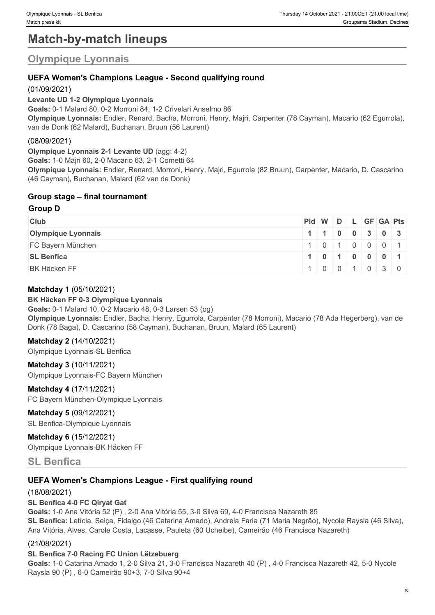# **Match-by-match lineups**

# **Olympique Lyonnais**

### **UEFA Women's Champions League - Second qualifying round**

#### (01/09/2021)

#### **Levante UD 1-2 Olympique Lyonnais**

**Goals:** 0-1 Malard 80, 0-2 Morroni 84, 1-2 Crivelari Anselmo 86 **Olympique Lyonnais:** Endler, Renard, Bacha, Morroni, Henry, Majri, Carpenter (78 Cayman), Macario (62 Egurrola), van de Donk (62 Malard), Buchanan, Bruun (56 Laurent)

#### (08/09/2021)

**Olympique Lyonnais 2-1 Levante UD** (agg: 4-2)

**Goals:** 1-0 Majri 60, 2-0 Macario 63, 2-1 Cometti 64

**Olympique Lyonnais:** Endler, Renard, Morroni, Henry, Majri, Egurrola (82 Bruun), Carpenter, Macario, D. Cascarino (46 Cayman), Buchanan, Malard (62 van de Donk)

#### **Group stage – final tournament**

#### **Group D**

| <b>Club</b>               | $PId \mid W \mid D \mid L \mid GF \mid GA \mid Pts \mid$ |  |  |                             |  |
|---------------------------|----------------------------------------------------------|--|--|-----------------------------|--|
| <b>Olympique Lyonnais</b> |                                                          |  |  | $1$   1   0   0   3   0   3 |  |
| FC Bayern München         |                                                          |  |  | $1 \ 0 \ 1 \ 0 \ 0 \ 0 \ 1$ |  |
| <b>SL Benfica</b>         |                                                          |  |  | 1010001                     |  |
| <b>BK Häcken FF</b>       |                                                          |  |  | 1   0   0   1   0   3   0   |  |

#### **Matchday 1** (05/10/2021)

#### **BK Häcken FF 0-3 Olympique Lyonnais**

**Goals:** 0-1 Malard 10, 0-2 Macario 48, 0-3 Larsen 53 (og)

**Olympique Lyonnais:** Endler, Bacha, Henry, Egurrola, Carpenter (78 Morroni), Macario (78 Ada Hegerberg), van de Donk (78 Baga), D. Cascarino (58 Cayman), Buchanan, Bruun, Malard (65 Laurent)

#### **Matchday 2** (14/10/2021)

Olympique Lyonnais-SL Benfica

**Matchday 3** (10/11/2021) Olympique Lyonnais-FC Bayern München

**Matchday 4** (17/11/2021) FC Bayern München-Olympique Lyonnais

#### **Matchday 5** (09/12/2021)

SL Benfica-Olympique Lyonnais

## **Matchday 6** (15/12/2021)

Olympique Lyonnais-BK Häcken FF

### **SL Benfica**

### **UEFA Women's Champions League - First qualifying round**

#### (18/08/2021)

#### **SL Benfica 4-0 FC Qiryat Gat**

**Goals:** 1-0 Ana Vitória 52 (P) , 2-0 Ana Vitória 55, 3-0 Silva 69, 4-0 Francisca Nazareth 85

**SL Benfica:** Letícia, Seiça, Fidalgo (46 Catarina Amado), Andreia Faria (71 Maria Negrão), Nycole Raysla (46 Silva), Ana Vitória, Alves, Carole Costa, Lacasse, Pauleta (60 Ucheibe), Cameirão (46 Francisca Nazareth)

#### (21/08/2021)

#### **SL Benfica 7-0 Racing FC Union Lëtzebuerg**

**Goals:** 1-0 Catarina Amado 1, 2-0 Silva 21, 3-0 Francisca Nazareth 40 (P) , 4-0 Francisca Nazareth 42, 5-0 Nycole Raysla 90 (P) , 6-0 Cameirão 90+3, 7-0 Silva 90+4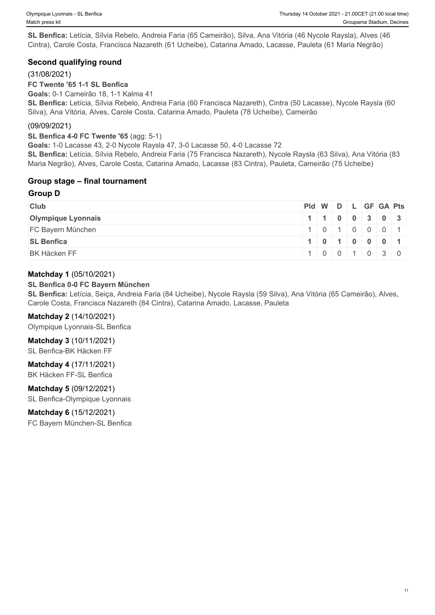**SL Benfica:** Letícia, Sílvia Rebelo, Andreia Faria (65 Cameirão), Silva, Ana Vitória (46 Nycole Raysla), Alves (46 Cintra), Carole Costa, Francisca Nazareth (61 Ucheibe), Catarina Amado, Lacasse, Pauleta (61 Maria Negrão)

### **Second qualifying round**

#### (31/08/2021)

**FC Twente '65 1-1 SL Benfica**

**Goals:** 0-1 Cameirão 18, 1-1 Kalma 41

**SL Benfica:** Letícia, Sílvia Rebelo, Andreia Faria (60 Francisca Nazareth), Cintra (50 Lacasse), Nycole Raysla (60 Silva), Ana Vitória, Alves, Carole Costa, Catarina Amado, Pauleta (78 Ucheibe), Cameirão

(09/09/2021)

**SL Benfica 4-0 FC Twente '65** (agg: 5-1)

**Goals:** 1-0 Lacasse 43, 2-0 Nycole Raysla 47, 3-0 Lacasse 50, 4-0 Lacasse 72

**SL Benfica:** Letícia, Sílvia Rebelo, Andreia Faria (75 Francisca Nazareth), Nycole Raysla (63 Silva), Ana Vitória (83 Maria Negrão), Alves, Carole Costa, Catarina Amado, Lacasse (83 Cintra), Pauleta, Cameirão (75 Ucheibe)

#### **Group stage – final tournament**

#### **Group D**

| <b>Club</b>               | $PId \mid W \mid D \mid L \mid GF \mid GA \mid Pts \mid$ |  |  |                                               |  |
|---------------------------|----------------------------------------------------------|--|--|-----------------------------------------------|--|
| <b>Olympique Lyonnais</b> |                                                          |  |  | $1 \mid 1 \mid 0 \mid 0 \mid 3 \mid 0 \mid 3$ |  |
| FC Bayern München         |                                                          |  |  | 1 0 1 0 0 0 1                                 |  |
| <b>SL Benfica</b>         |                                                          |  |  | 1 0 1 0 0 0 1                                 |  |
| <b>BK Häcken FF</b>       |                                                          |  |  | 1001030                                       |  |

#### **Matchday 1** (05/10/2021)

#### **SL Benfica 0-0 FC Bayern München**

**SL Benfica:** Letícia, Seiça, Andreia Faria (84 Ucheibe), Nycole Raysla (59 Silva), Ana Vitória (65 Cameirão), Alves, Carole Costa, Francisca Nazareth (84 Cintra), Catarina Amado, Lacasse, Pauleta

#### **Matchday 2** (14/10/2021)

Olympique Lyonnais-SL Benfica

#### **Matchday 3** (10/11/2021)

SL Benfica-BK Häcken FF

#### **Matchday 4** (17/11/2021)

BK Häcken FF-SL Benfica

#### **Matchday 5** (09/12/2021)

SL Benfica-Olympique Lyonnais

#### **Matchday 6** (15/12/2021)

FC Bayern München-SL Benfica